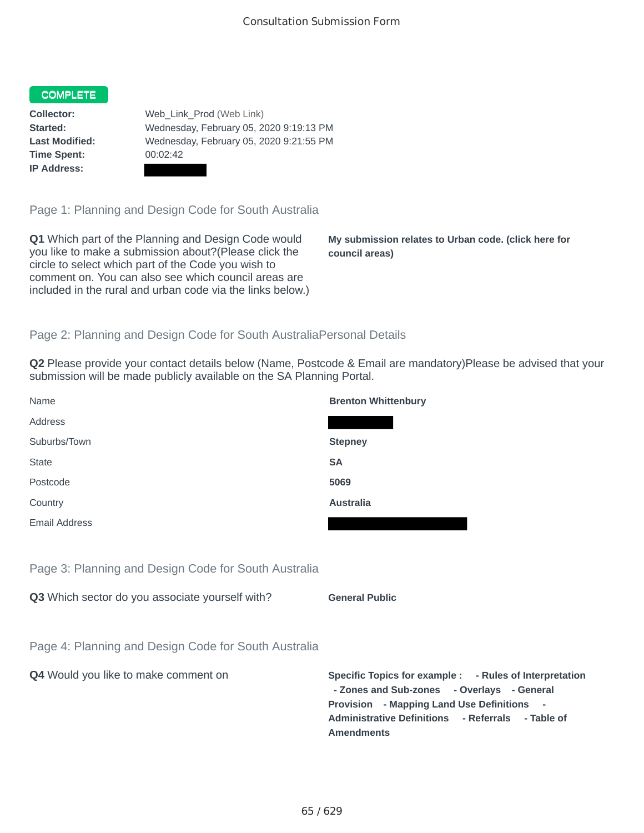## COMPLETE

**Time Spent:** 00:02:42 **IP Address:**

**Collector:** Web\_Link\_Prod (Web Link) **Started:** Wednesday, February 05, 2020 9:19:13 PM **Last Modified:** Wednesday, February 05, 2020 9:21:55 PM

Page 1: Planning and Design Code for South Australia

**Q1** Which part of the Planning and Design Code would you like to make a submission about?(Please click the circle to select which part of the Code you wish to comment on. You can also see which council areas are included in the rural and urban code via the links below.)

**My submission relates to Urban code. (click here for council areas)**

## Page 2: Planning and Design Code for South AustraliaPersonal Details

**Q2** Please provide your contact details below (Name, Postcode & Email are mandatory)Please be advised that your submission will be made publicly available on the SA Planning Portal.

| Name                                                 | <b>Brenton Whittenbury</b>                                                                                                                                                                                                              |
|------------------------------------------------------|-----------------------------------------------------------------------------------------------------------------------------------------------------------------------------------------------------------------------------------------|
| Address                                              |                                                                                                                                                                                                                                         |
| Suburbs/Town                                         | <b>Stepney</b>                                                                                                                                                                                                                          |
| <b>State</b>                                         | <b>SA</b>                                                                                                                                                                                                                               |
| Postcode                                             | 5069                                                                                                                                                                                                                                    |
| Country                                              | <b>Australia</b>                                                                                                                                                                                                                        |
| Email Address                                        |                                                                                                                                                                                                                                         |
|                                                      |                                                                                                                                                                                                                                         |
| Page 3: Planning and Design Code for South Australia |                                                                                                                                                                                                                                         |
| Q3 Which sector do you associate yourself with?      | <b>General Public</b>                                                                                                                                                                                                                   |
|                                                      |                                                                                                                                                                                                                                         |
| Page 4: Planning and Design Code for South Australia |                                                                                                                                                                                                                                         |
| Q4 Would you like to make comment on                 | Specific Topics for example : - Rules of Interpretation<br>- Zones and Sub-zones - Overlays - General<br>Provision - Mapping Land Use Definitions -<br><b>Administrative Definitions</b><br>- Referrals - Table of<br><b>Amendments</b> |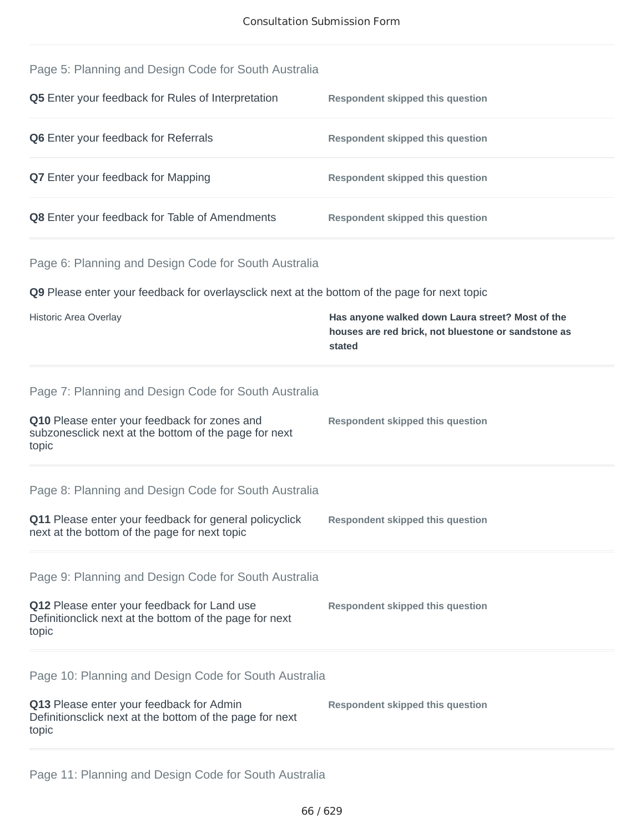| Page 5: Planning and Design Code for South Australia      |                                         |
|-----------------------------------------------------------|-----------------------------------------|
| <b>O5</b> Enter your feedback for Rules of Interpretation | <b>Respondent skinned this question</b> |

| <b>VULTICI YOUI ICCUDUCINIOI INDICO OF INICIPICIATIOII</b> | <b>Treppondent ompped this question</b> |
|------------------------------------------------------------|-----------------------------------------|
| <b>Q6</b> Enter your feedback for Referrals                | Respondent skipped this question        |
| <b>Q7</b> Enter your feedback for Mapping                  | <b>Respondent skipped this question</b> |
| Q8 Enter your feedback for Table of Amendments             | <b>Respondent skipped this question</b> |

Page 6: Planning and Design Code for South Australia

**Q9** Please enter your feedback for overlaysclick next at the bottom of the page for next topic

| <b>Historic Area Overlay</b>                                                                                                                                            | Has anyone walked down Laura street? Most of the<br>houses are red brick, not bluestone or sandstone as<br>stated |
|-------------------------------------------------------------------------------------------------------------------------------------------------------------------------|-------------------------------------------------------------------------------------------------------------------|
| Page 7: Planning and Design Code for South Australia<br>Q10 Please enter your feedback for zones and<br>subzonesclick next at the bottom of the page for next<br>topic  | <b>Respondent skipped this question</b>                                                                           |
| Page 8: Planning and Design Code for South Australia<br>Q11 Please enter your feedback for general policyclick<br>next at the bottom of the page for next topic         | <b>Respondent skipped this question</b>                                                                           |
| Page 9: Planning and Design Code for South Australia<br>Q12 Please enter your feedback for Land use<br>Definitionclick next at the bottom of the page for next<br>topic | <b>Respondent skipped this question</b>                                                                           |
| Page 10: Planning and Design Code for South Australia<br>Q13 Please enter your feedback for Admin<br>Definitionsclick next at the bottom of the page for next<br>topic  | <b>Respondent skipped this question</b>                                                                           |